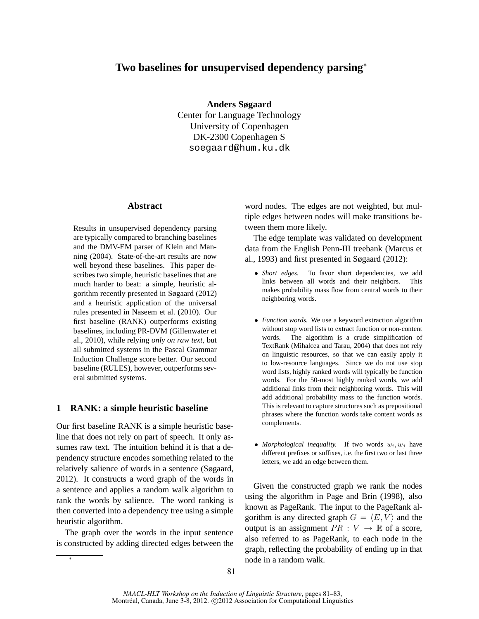# **Two baselines for unsupervised dependency parsing**<sup>∗</sup>

**Anders Søgaard**

Center for Language Technology University of Copenhagen DK-2300 Copenhagen S soegaard@hum.ku.dk

## **Abstract**

Results in unsupervised dependency parsing are typically compared to branching baselines and the DMV-EM parser of Klein and Manning (2004). State-of-the-art results are now well beyond these baselines. This paper describes two simple, heuristic baselines that are much harder to beat: a simple, heuristic algorithm recently presented in Søgaard (2012) and a heuristic application of the universal rules presented in Naseem et al. (2010). Our first baseline (RANK) outperforms existing baselines, including PR-DVM (Gillenwater et al., 2010), while relying *only on raw text*, but all submitted systems in the Pascal Grammar Induction Challenge score better. Our second baseline (RULES), however, outperforms several submitted systems.

## **1 RANK: a simple heuristic baseline**

Our first baseline RANK is a simple heuristic baseline that does not rely on part of speech. It only assumes raw text. The intuition behind it is that a dependency structure encodes something related to the relatively salience of words in a sentence (Søgaard, 2012). It constructs a word graph of the words in a sentence and applies a random walk algorithm to rank the words by salience. The word ranking is then converted into a dependency tree using a simple heuristic algorithm.

The graph over the words in the input sentence is constructed by adding directed edges between the

∗

word nodes. The edges are not weighted, but multiple edges between nodes will make transitions between them more likely.

The edge template was validated on development data from the English Penn-III treebank (Marcus et al., 1993) and first presented in Søgaard (2012):

- *Short edges.* To favor short dependencies, we add links between all words and their neighbors. This makes probability mass flow from central words to their neighboring words.
- *Function words.* We use a keyword extraction algorithm without stop word lists to extract function or non-content words. The algorithm is a crude simplification of TextRank (Mihalcea and Tarau, 2004) that does not rely on linguistic resources, so that we can easily apply it to low-resource languages. Since we do not use stop word lists, highly ranked words will typically be function words. For the 50-most highly ranked words, we add additional links from their neighboring words. This will add additional probability mass to the function words. This is relevant to capture structures such as prepositional phrases where the function words take content words as complements.
- *Morphological inequality*. If two words  $w_i, w_j$  have different prefixes or suffixes, i.e. the first two or last three letters, we add an edge between them.

Given the constructed graph we rank the nodes using the algorithm in Page and Brin (1998), also known as PageRank. The input to the PageRank algorithm is any directed graph  $G = \langle E, V \rangle$  and the output is an assignment  $PR : V \to \mathbb{R}$  of a score, also referred to as PageRank, to each node in the graph, reflecting the probability of ending up in that node in a random walk.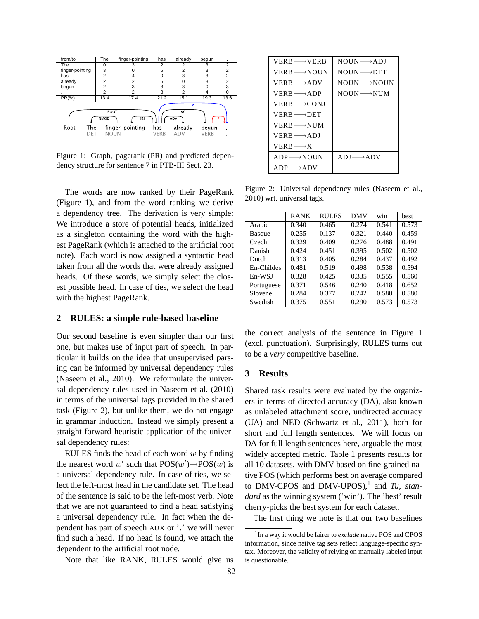

Figure 1: Graph, pagerank (PR) and predicted dependency structure for sentence 7 in PTB-III Sect. 23.

The words are now ranked by their PageRank (Figure 1), and from the word ranking we derive a dependency tree. The derivation is very simple: We introduce a store of potential heads, initialized as a singleton containing the word with the highest PageRank (which is attached to the artificial root note). Each word is now assigned a syntactic head taken from all the words that were already assigned heads. Of these words, we simply select the closest possible head. In case of ties, we select the head with the highest PageRank.

# **2 RULES: a simple rule-based baseline**

Our second baseline is even simpler than our first one, but makes use of input part of speech. In particular it builds on the idea that unsupervised parsing can be informed by universal dependency rules (Naseem et al., 2010). We reformulate the universal dependency rules used in Naseem et al. (2010) in terms of the universal tags provided in the shared task (Figure 2), but unlike them, we do not engage in grammar induction. Instead we simply present a straight-forward heuristic application of the universal dependency rules:

RULES finds the head of each word  $w$  by finding the nearest word w' such that  $POS(w')\rightarrow POS(w)$  is a universal dependency rule. In case of ties, we select the left-most head in the candidate set. The head of the sentence is said to be the left-most verb. Note that we are not guaranteed to find a head satisfying a universal dependency rule. In fact when the dependent has part of speech AUX or '.' we will never find such a head. If no head is found, we attach the dependent to the artificial root node.

Note that like RANK, RULES would give us

| $VERB \longrightarrow VERB$ | $NOIIN \longrightarrow ADI$   |
|-----------------------------|-------------------------------|
| $VERB \longrightarrow NOUN$ | $NOIIN \longrightarrow DET$   |
| $VERB \longrightarrow ADV$  | $NOIIN \longrightarrow NOIIN$ |
| $VERB \longrightarrow ADP$  | $NOIIN \longrightarrow NIIM$  |
| $VERB \longrightarrow CONJ$ |                               |
| $VFRB \longrightarrow DET$  |                               |
| $VERB \longrightarrow NIIM$ |                               |
| $VFRB \longrightarrow ADI$  |                               |
| $VERB \longrightarrow X$    |                               |
| $ADP \longrightarrow NOUN$  | $ADI \longrightarrow ADV$     |
| $ADP \longrightarrow ADV$   |                               |

Figure 2: Universal dependency rules (Naseem et al., 2010) wrt. universal tags.

|               | <b>RANK</b> | <b>RULES</b> | DMV   | win   | hest  |
|---------------|-------------|--------------|-------|-------|-------|
| Arabic        | 0.340       | 0.465        | 0.274 | 0.541 | 0.573 |
| <b>Basque</b> | 0.255       | 0.137        | 0.321 | 0.440 | 0.459 |
| Czech         | 0.329       | 0.409        | 0.276 | 0.488 | 0.491 |
| Danish        | 0.424       | 0.451        | 0.395 | 0.502 | 0.502 |
| Dutch         | 0.313       | 0.405        | 0.284 | 0.437 | 0.492 |
| En-Childes    | 0.481       | 0.519        | 0.498 | 0.538 | 0.594 |
| En-WSJ        | 0.328       | 0.425        | 0.335 | 0.555 | 0.560 |
| Portuguese    | 0.371       | 0.546        | 0.240 | 0.418 | 0.652 |
| Slovene       | 0.284       | 0.377        | 0.242 | 0.580 | 0.580 |
| Swedish       | 0.375       | 0.551        | 0.290 | 0.573 | 0.573 |
|               |             |              |       |       |       |

the correct analysis of the sentence in Figure 1 (excl. punctuation). Surprisingly, RULES turns out to be a *very* competitive baseline.

### **3 Results**

Shared task results were evaluated by the organizers in terms of directed accuracy (DA), also known as unlabeled attachment score, undirected accuracy (UA) and NED (Schwartz et al., 2011), both for short and full length sentences. We will focus on DA for full length sentences here, arguable the most widely accepted metric. Table 1 presents results for all 10 datasets, with DMV based on fine-grained native POS (which performs best on average compared to DMV-CPOS and DMV-UPOS),<sup>1</sup> and *Tu*, *standard* as the winning system ('win'). The 'best' result cherry-picks the best system for each dataset.

The first thing we note is that our two baselines

<sup>&</sup>lt;sup>1</sup>In a way it would be fairer to exclude native POS and CPOS information, since native tag sets reflect language-specific syntax. Moreover, the validity of relying on manually labeled input is questionable.